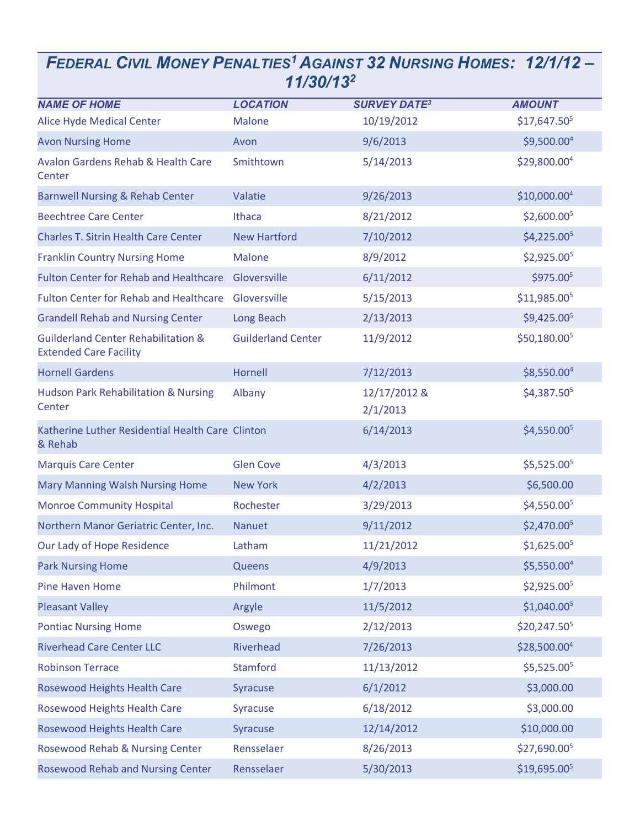## *FEDERAL CIVIL MONEY PENALTIES<sup>1</sup>AGAINST 32 NURSING HOMES: 12/1/12 – 11/30/13 2*

| <b>NAME OF HOME</b>                                                             | <b>LOCATION</b>           | <b>SURVEY DATE3</b>      | <b>AMOUNT</b>            |
|---------------------------------------------------------------------------------|---------------------------|--------------------------|--------------------------|
| <b>Alice Hyde Medical Center</b>                                                | <b>Malone</b>             | 10/19/2012               | \$17,647.50 <sup>5</sup> |
| <b>Avon Nursing Home</b>                                                        | Avon                      | 9/6/2013                 | \$9,500.00 <sup>4</sup>  |
| <b>Avalon Gardens Rehab &amp; Health Care</b><br>Center                         | Smithtown                 | 5/14/2013                | \$29,800.00 <sup>4</sup> |
| <b>Barnwell Nursing &amp; Rehab Center</b>                                      | Valatie                   | 9/26/2013                | \$10,000.00 <sup>4</sup> |
| <b>Beechtree Care Center</b>                                                    | Ithaca                    | 8/21/2012                | \$2,600.00 <sup>5</sup>  |
| <b>Charles T. Sitrin Health Care Center</b>                                     | <b>New Hartford</b>       | 7/10/2012                | \$4,225.00 <sup>5</sup>  |
| <b>Franklin Country Nursing Home</b>                                            | <b>Malone</b>             | 8/9/2012                 | \$2,925.005              |
| <b>Fulton Center for Rehab and Healthcare</b>                                   | Gloversville              | 6/11/2012                | \$975.005                |
| <b>Fulton Center for Rehab and Healthcare</b>                                   | Gloversville              | 5/15/2013                | \$11,985.00 <sup>5</sup> |
| <b>Grandell Rehab and Nursing Center</b>                                        | Long Beach                | 2/13/2013                | \$9,425.005              |
| <b>Guilderland Center Rehabilitation &amp;</b><br><b>Extended Care Facility</b> | <b>Guilderland Center</b> | 11/9/2012                | \$50,180.00 <sup>5</sup> |
| <b>Hornell Gardens</b>                                                          | Hornell                   | 7/12/2013                | $$8,550.00^4$            |
| <b>Hudson Park Rehabilitation &amp; Nursing</b><br>Center                       | Albany                    | 12/17/2012 &<br>2/1/2013 | \$4,387.50 <sup>5</sup>  |
| Katherine Luther Residential Health Care Clinton<br>& Rehab                     |                           | 6/14/2013                | \$4,550.00 <sup>5</sup>  |
| <b>Marquis Care Center</b>                                                      | <b>Glen Cove</b>          | 4/3/2013                 | \$5,525.00 <sup>5</sup>  |
| <b>Mary Manning Walsh Nursing Home</b>                                          | <b>New York</b>           | 4/2/2013                 | \$6,500.00               |
| <b>Monroe Community Hospital</b>                                                | Rochester                 | 3/29/2013                | \$4,550.005              |
| Northern Manor Geriatric Center, Inc.                                           | <b>Nanuet</b>             | 9/11/2012                | \$2,470.00 <sup>5</sup>  |
| Our Lady of Hope Residence                                                      | Latham                    | 11/21/2012               | \$1,625.00 <sup>5</sup>  |
| <b>Park Nursing Home</b>                                                        | <b>Queens</b>             | 4/9/2013                 | \$5,550.00 <sup>4</sup>  |
| <b>Pine Haven Home</b>                                                          | Philmont                  | 1/7/2013                 | \$2,925.00 <sup>5</sup>  |
| <b>Pleasant Valley</b>                                                          | Argyle                    | 11/5/2012                | \$1,040.00 <sup>5</sup>  |
| <b>Pontiac Nursing Home</b>                                                     | Oswego                    | 2/12/2013                | \$20,247.50 <sup>5</sup> |
| <b>Riverhead Care Center LLC</b>                                                | Riverhead                 | 7/26/2013                | \$28,500.00 <sup>4</sup> |
| <b>Robinson Terrace</b>                                                         | <b>Stamford</b>           | 11/13/2012               | \$5,525.005              |
| <b>Rosewood Heights Health Care</b>                                             | Syracuse                  | 6/1/2012                 | \$3,000.00               |
| <b>Rosewood Heights Health Care</b>                                             | Syracuse                  | 6/18/2012                | \$3,000.00               |
| Rosewood Heights Health Care                                                    | Syracuse                  | 12/14/2012               | \$10,000.00              |
| <b>Rosewood Rehab &amp; Nursing Center</b>                                      | Rensselaer                | 8/26/2013                | \$27,690.005             |
| <b>Rosewood Rehab and Nursing Center</b>                                        | Rensselaer                | 5/30/2013                | \$19,695.005             |